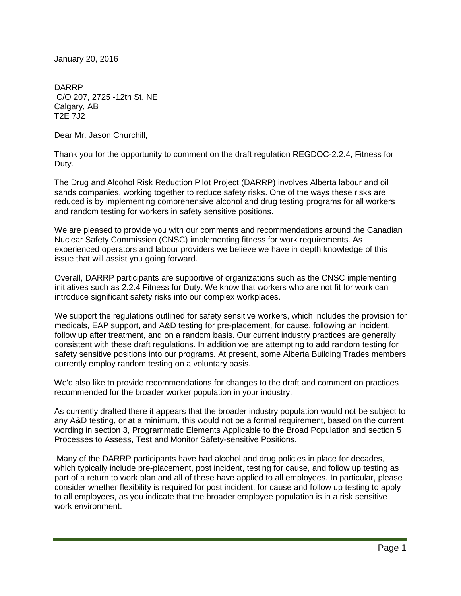January 20, 2016

DARRP C/O 207, 2725 -12th St. NE Calgary, AB T2E 7J2

Dear Mr. Jason Churchill,

Thank you for the opportunity to comment on the draft regulation REGDOC-2.2.4, Fitness for Duty.

The Drug and Alcohol Risk Reduction Pilot Project (DARRP) involves Alberta labour and oil sands companies, working together to reduce safety risks. One of the ways these risks are reduced is by implementing comprehensive alcohol and drug testing programs for all workers and random testing for workers in safety sensitive positions.

We are pleased to provide you with our comments and recommendations around the Canadian Nuclear Safety Commission (CNSC) implementing fitness for work requirements. As experienced operators and labour providers we believe we have in depth knowledge of this issue that will assist you going forward.

Overall, DARRP participants are supportive of organizations such as the CNSC implementing initiatives such as 2.2.4 Fitness for Duty. We know that workers who are not fit for work can introduce significant safety risks into our complex workplaces.

We support the regulations outlined for safety sensitive workers, which includes the provision for medicals, EAP support, and A&D testing for pre-placement, for cause, following an incident, follow up after treatment, and on a random basis. Our current industry practices are generally consistent with these draft regulations. In addition we are attempting to add random testing for safety sensitive positions into our programs. At present, some Alberta Building Trades members currently employ random testing on a voluntary basis.

We'd also like to provide recommendations for changes to the draft and comment on practices recommended for the broader worker population in your industry.

As currently drafted there it appears that the broader industry population would not be subject to any A&D testing, or at a minimum, this would not be a formal requirement, based on the current wording in section 3, Programmatic Elements Applicable to the Broad Population and section 5 Processes to Assess, Test and Monitor Safety-sensitive Positions.

Many of the DARRP participants have had alcohol and drug policies in place for decades, which typically include pre-placement, post incident, testing for cause, and follow up testing as part of a return to work plan and all of these have applied to all employees. In particular, please consider whether flexibility is required for post incident, for cause and follow up testing to apply to all employees, as you indicate that the broader employee population is in a risk sensitive work environment.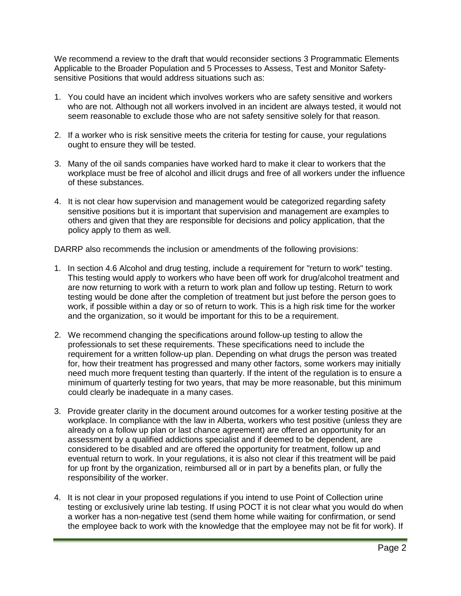We recommend a review to the draft that would reconsider sections 3 Programmatic Elements Applicable to the Broader Population and 5 Processes to Assess, Test and Monitor Safetysensitive Positions that would address situations such as:

- 1. You could have an incident which involves workers who are safety sensitive and workers who are not. Although not all workers involved in an incident are always tested, it would not seem reasonable to exclude those who are not safety sensitive solely for that reason.
- 2. If a worker who is risk sensitive meets the criteria for testing for cause, your regulations ought to ensure they will be tested.
- 3. Many of the oil sands companies have worked hard to make it clear to workers that the workplace must be free of alcohol and illicit drugs and free of all workers under the influence of these substances.
- 4. It is not clear how supervision and management would be categorized regarding safety sensitive positions but it is important that supervision and management are examples to others and given that they are responsible for decisions and policy application, that the policy apply to them as well.

DARRP also recommends the inclusion or amendments of the following provisions:

- 1. In section 4.6 Alcohol and drug testing, include a requirement for "return to work" testing. This testing would apply to workers who have been off work for drug/alcohol treatment and are now returning to work with a return to work plan and follow up testing. Return to work testing would be done after the completion of treatment but just before the person goes to work, if possible within a day or so of return to work. This is a high risk time for the worker and the organization, so it would be important for this to be a requirement.
- 2. We recommend changing the specifications around follow-up testing to allow the professionals to set these requirements. These specifications need to include the requirement for a written follow-up plan. Depending on what drugs the person was treated for, how their treatment has progressed and many other factors, some workers may initially need much more frequent testing than quarterly. If the intent of the regulation is to ensure a minimum of quarterly testing for two years, that may be more reasonable, but this minimum could clearly be inadequate in a many cases.
- 3. Provide greater clarity in the document around outcomes for a worker testing positive at the workplace. In compliance with the law in Alberta, workers who test positive (unless they are already on a follow up plan or last chance agreement) are offered an opportunity for an assessment by a qualified addictions specialist and if deemed to be dependent, are considered to be disabled and are offered the opportunity for treatment, follow up and eventual return to work. In your regulations, it is also not clear if this treatment will be paid for up front by the organization, reimbursed all or in part by a benefits plan, or fully the responsibility of the worker.
- 4. It is not clear in your proposed regulations if you intend to use Point of Collection urine testing or exclusively urine lab testing. If using POCT it is not clear what you would do when a worker has a non-negative test (send them home while waiting for confirmation, or send the employee back to work with the knowledge that the employee may not be fit for work). If